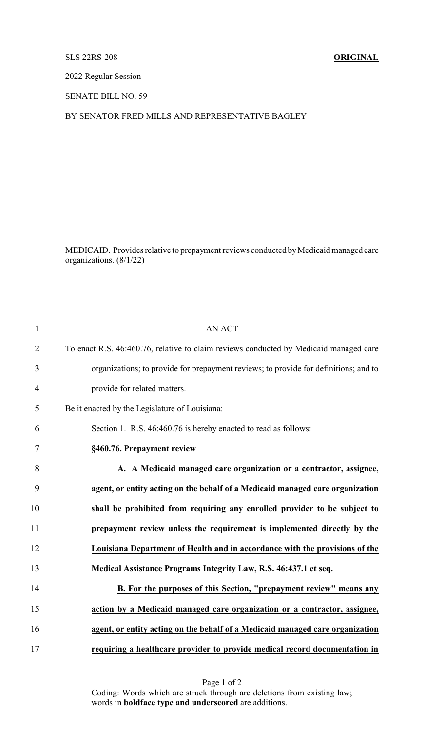#### SLS 22RS-208 **ORIGINAL**

2022 Regular Session

SENATE BILL NO. 59

### BY SENATOR FRED MILLS AND REPRESENTATIVE BAGLEY

MEDICAID. Provides relative to prepayment reviews conducted by Medicaid managed care organizations. (8/1/22)

| $\mathbf{1}$   | <b>AN ACT</b>                                                                         |
|----------------|---------------------------------------------------------------------------------------|
| $\overline{2}$ | To enact R.S. 46:460.76, relative to claim reviews conducted by Medicaid managed care |
| 3              | organizations; to provide for prepayment reviews; to provide for definitions; and to  |
| $\overline{4}$ | provide for related matters.                                                          |
| 5              | Be it enacted by the Legislature of Louisiana:                                        |
| 6              | Section 1. R.S. 46:460.76 is hereby enacted to read as follows:                       |
| 7              | §460.76. Prepayment review                                                            |
| 8              | A. A Medicaid managed care organization or a contractor, assignee,                    |
| 9              | agent, or entity acting on the behalf of a Medicaid managed care organization         |
| 10             | shall be prohibited from requiring any enrolled provider to be subject to             |
| 11             | prepayment review unless the requirement is implemented directly by the               |
| 12             | Louisiana Department of Health and in accordance with the provisions of the           |
| 13             | Medical Assistance Programs Integrity Law, R.S. 46:437.1 et seq.                      |
| 14             | B. For the purposes of this Section, "prepayment review" means any                    |
| 15             | action by a Medicaid managed care organization or a contractor, assignee,             |
| 16             | agent, or entity acting on the behalf of a Medicaid managed care organization         |
| 17             | requiring a healthcare provider to provide medical record documentation in            |

Page 1 of 2 Coding: Words which are struck through are deletions from existing law; words in **boldface type and underscored** are additions.